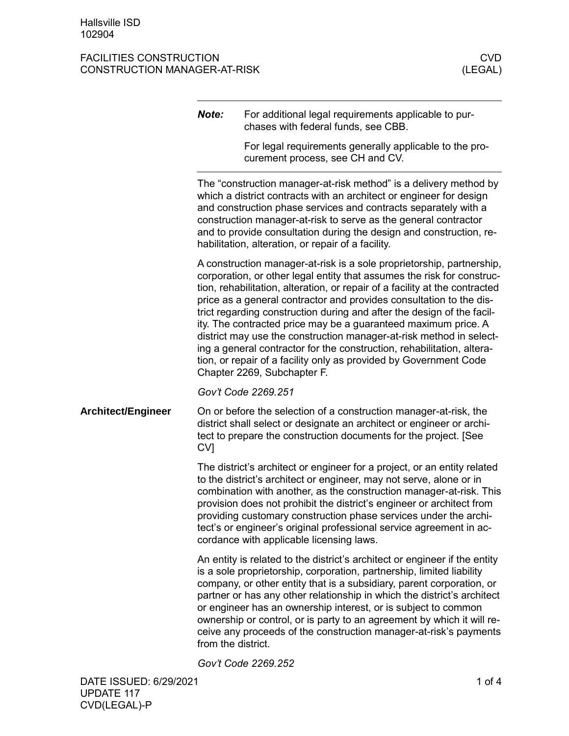FACILITIES CONSTRUCTION<br>CONSTRUCTION MANAGER-AT-RISK (LEGAL) CONSTRUCTION MANAGER-AT-RISK

|                           | Note:                                                                                                                                                                                                                                                                                                                                                                                                                                                                                                                                                                                                                                                                                                  | For additional legal requirements applicable to pur-<br>chases with federal funds, see CBB.<br>For legal requirements generally applicable to the pro-<br>curement process, see CH and CV.                                                                                                                                                                                                                                                                                                                               |  |
|---------------------------|--------------------------------------------------------------------------------------------------------------------------------------------------------------------------------------------------------------------------------------------------------------------------------------------------------------------------------------------------------------------------------------------------------------------------------------------------------------------------------------------------------------------------------------------------------------------------------------------------------------------------------------------------------------------------------------------------------|--------------------------------------------------------------------------------------------------------------------------------------------------------------------------------------------------------------------------------------------------------------------------------------------------------------------------------------------------------------------------------------------------------------------------------------------------------------------------------------------------------------------------|--|
|                           | The "construction manager-at-risk method" is a delivery method by<br>which a district contracts with an architect or engineer for design<br>and construction phase services and contracts separately with a<br>construction manager-at-risk to serve as the general contractor<br>and to provide consultation during the design and construction, re-<br>habilitation, alteration, or repair of a facility.                                                                                                                                                                                                                                                                                            |                                                                                                                                                                                                                                                                                                                                                                                                                                                                                                                          |  |
|                           | A construction manager-at-risk is a sole proprietorship, partnership,<br>corporation, or other legal entity that assumes the risk for construc-<br>tion, rehabilitation, alteration, or repair of a facility at the contracted<br>price as a general contractor and provides consultation to the dis-<br>trict regarding construction during and after the design of the facil-<br>ity. The contracted price may be a guaranteed maximum price. A<br>district may use the construction manager-at-risk method in select-<br>ing a general contractor for the construction, rehabilitation, altera-<br>tion, or repair of a facility only as provided by Government Code<br>Chapter 2269, Subchapter F. |                                                                                                                                                                                                                                                                                                                                                                                                                                                                                                                          |  |
|                           |                                                                                                                                                                                                                                                                                                                                                                                                                                                                                                                                                                                                                                                                                                        | Gov't Code 2269.251                                                                                                                                                                                                                                                                                                                                                                                                                                                                                                      |  |
| <b>Architect/Engineer</b> | CV <sub>1</sub>                                                                                                                                                                                                                                                                                                                                                                                                                                                                                                                                                                                                                                                                                        | On or before the selection of a construction manager-at-risk, the<br>district shall select or designate an architect or engineer or archi-<br>tect to prepare the construction documents for the project. [See                                                                                                                                                                                                                                                                                                           |  |
|                           |                                                                                                                                                                                                                                                                                                                                                                                                                                                                                                                                                                                                                                                                                                        | The district's architect or engineer for a project, or an entity related<br>to the district's architect or engineer, may not serve, alone or in<br>combination with another, as the construction manager-at-risk. This<br>provision does not prohibit the district's engineer or architect from<br>providing customary construction phase services under the archi-<br>tect's or engineer's original professional service agreement in ac-<br>cordance with applicable licensing laws.                                   |  |
|                           | from the district.                                                                                                                                                                                                                                                                                                                                                                                                                                                                                                                                                                                                                                                                                     | An entity is related to the district's architect or engineer if the entity<br>is a sole proprietorship, corporation, partnership, limited liability<br>company, or other entity that is a subsidiary, parent corporation, or<br>partner or has any other relationship in which the district's architect<br>or engineer has an ownership interest, or is subject to common<br>ownership or control, or is party to an agreement by which it will re-<br>ceive any proceeds of the construction manager-at-risk's payments |  |
|                           |                                                                                                                                                                                                                                                                                                                                                                                                                                                                                                                                                                                                                                                                                                        | Gov't Code 2269.252                                                                                                                                                                                                                                                                                                                                                                                                                                                                                                      |  |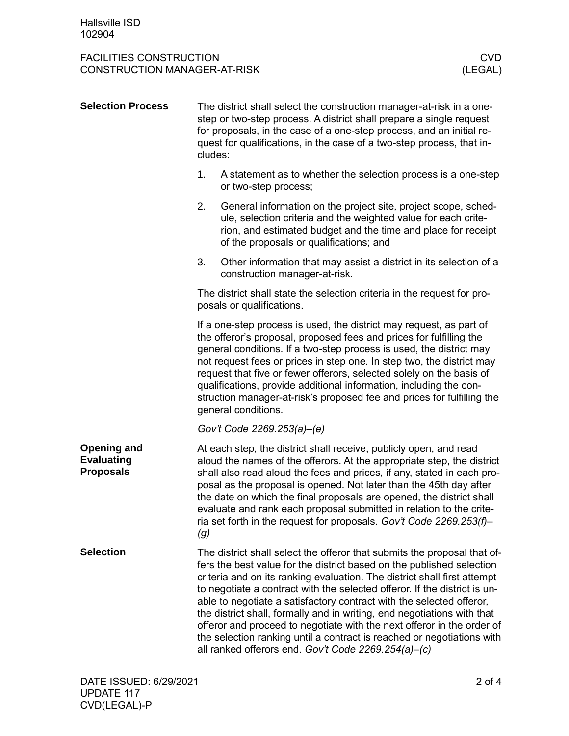## FACILITIES CONSTRUCTION<br>CONSTRUCTION MANAGER-AT-RISK (LEGAL) CONSTRUCTION MANAGER-AT-RISK

| <b>Selection Process</b>                                    | cludes: | The district shall select the construction manager-at-risk in a one-<br>step or two-step process. A district shall prepare a single request<br>for proposals, in the case of a one-step process, and an initial re-<br>quest for qualifications, in the case of a two-step process, that in-                                                                                                                                                                                                                                                                                                                                                                             |
|-------------------------------------------------------------|---------|--------------------------------------------------------------------------------------------------------------------------------------------------------------------------------------------------------------------------------------------------------------------------------------------------------------------------------------------------------------------------------------------------------------------------------------------------------------------------------------------------------------------------------------------------------------------------------------------------------------------------------------------------------------------------|
|                                                             | 1.      | A statement as to whether the selection process is a one-step<br>or two-step process;                                                                                                                                                                                                                                                                                                                                                                                                                                                                                                                                                                                    |
|                                                             | 2.      | General information on the project site, project scope, sched-<br>ule, selection criteria and the weighted value for each crite-<br>rion, and estimated budget and the time and place for receipt<br>of the proposals or qualifications; and                                                                                                                                                                                                                                                                                                                                                                                                                             |
|                                                             | 3.      | Other information that may assist a district in its selection of a<br>construction manager-at-risk.                                                                                                                                                                                                                                                                                                                                                                                                                                                                                                                                                                      |
|                                                             |         | The district shall state the selection criteria in the request for pro-<br>posals or qualifications.                                                                                                                                                                                                                                                                                                                                                                                                                                                                                                                                                                     |
|                                                             |         | If a one-step process is used, the district may request, as part of<br>the offeror's proposal, proposed fees and prices for fulfilling the<br>general conditions. If a two-step process is used, the district may<br>not request fees or prices in step one. In step two, the district may<br>request that five or fewer offerors, selected solely on the basis of<br>qualifications, provide additional information, including the con-<br>struction manager-at-risk's proposed fee and prices for fulfilling the<br>general conditions.                                                                                                                                |
|                                                             |         | Gov't Code 2269.253(a)-(e)                                                                                                                                                                                                                                                                                                                                                                                                                                                                                                                                                                                                                                               |
| <b>Opening and</b><br><b>Evaluating</b><br><b>Proposals</b> | (g)     | At each step, the district shall receive, publicly open, and read<br>aloud the names of the offerors. At the appropriate step, the district<br>shall also read aloud the fees and prices, if any, stated in each pro-<br>posal as the proposal is opened. Not later than the 45th day after<br>the date on which the final proposals are opened, the district shall<br>evaluate and rank each proposal submitted in relation to the crite-<br>ria set forth in the request for proposals. Gov't Code 2269.253(f)-                                                                                                                                                        |
| <b>Selection</b>                                            |         | The district shall select the offeror that submits the proposal that of-<br>fers the best value for the district based on the published selection<br>criteria and on its ranking evaluation. The district shall first attempt<br>to negotiate a contract with the selected offeror. If the district is un-<br>able to negotiate a satisfactory contract with the selected offeror,<br>the district shall, formally and in writing, end negotiations with that<br>offeror and proceed to negotiate with the next offeror in the order of<br>the selection ranking until a contract is reached or negotiations with<br>all ranked offerors end. Gov't Code 2269.254(a)-(c) |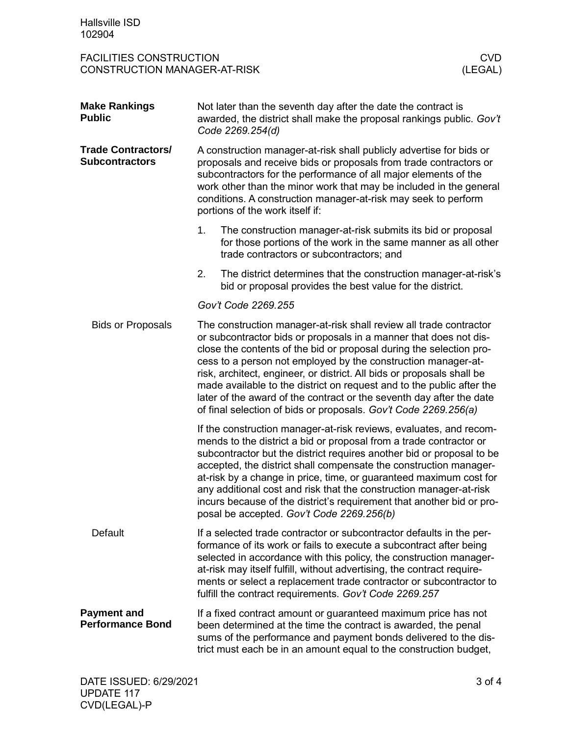FACILITIES CONSTRUCTION<br>CONSTRUCTION MANAGER-AT-RISK (LEGAL) CONSTRUCTION MANAGER-AT-RISK

| <b>Make Rankings</b><br><b>Public</b>              | Not later than the seventh day after the date the contract is<br>awarded, the district shall make the proposal rankings public. Gov't<br>Code 2269.254(d)                                                                                                                                                                                                                                                                                                                                                                                                                     |  |  |
|----------------------------------------------------|-------------------------------------------------------------------------------------------------------------------------------------------------------------------------------------------------------------------------------------------------------------------------------------------------------------------------------------------------------------------------------------------------------------------------------------------------------------------------------------------------------------------------------------------------------------------------------|--|--|
| <b>Trade Contractors/</b><br><b>Subcontractors</b> | A construction manager-at-risk shall publicly advertise for bids or<br>proposals and receive bids or proposals from trade contractors or<br>subcontractors for the performance of all major elements of the<br>work other than the minor work that may be included in the general<br>conditions. A construction manager-at-risk may seek to perform<br>portions of the work itself if:                                                                                                                                                                                        |  |  |
|                                                    | 1.<br>The construction manager-at-risk submits its bid or proposal<br>for those portions of the work in the same manner as all other<br>trade contractors or subcontractors; and                                                                                                                                                                                                                                                                                                                                                                                              |  |  |
|                                                    | 2.<br>The district determines that the construction manager-at-risk's<br>bid or proposal provides the best value for the district.                                                                                                                                                                                                                                                                                                                                                                                                                                            |  |  |
|                                                    | Gov't Code 2269.255                                                                                                                                                                                                                                                                                                                                                                                                                                                                                                                                                           |  |  |
| <b>Bids or Proposals</b>                           | The construction manager-at-risk shall review all trade contractor<br>or subcontractor bids or proposals in a manner that does not dis-<br>close the contents of the bid or proposal during the selection pro-<br>cess to a person not employed by the construction manager-at-<br>risk, architect, engineer, or district. All bids or proposals shall be<br>made available to the district on request and to the public after the<br>later of the award of the contract or the seventh day after the date<br>of final selection of bids or proposals. Gov't Code 2269.256(a) |  |  |
|                                                    | If the construction manager-at-risk reviews, evaluates, and recom-<br>mends to the district a bid or proposal from a trade contractor or<br>subcontractor but the district requires another bid or proposal to be<br>accepted, the district shall compensate the construction manager-<br>at-risk by a change in price, time, or guaranteed maximum cost for<br>any additional cost and risk that the construction manager-at-risk<br>incurs because of the district's requirement that another bid or pro-<br>posal be accepted. Gov't Code 2269.256(b)                      |  |  |
| <b>Default</b>                                     | If a selected trade contractor or subcontractor defaults in the per-<br>formance of its work or fails to execute a subcontract after being<br>selected in accordance with this policy, the construction manager-<br>at-risk may itself fulfill, without advertising, the contract require-<br>ments or select a replacement trade contractor or subcontractor to<br>fulfill the contract requirements. Gov't Code 2269.257                                                                                                                                                    |  |  |
| <b>Payment and</b><br><b>Performance Bond</b>      | If a fixed contract amount or guaranteed maximum price has not<br>been determined at the time the contract is awarded, the penal<br>sums of the performance and payment bonds delivered to the dis-<br>trict must each be in an amount equal to the construction budget,                                                                                                                                                                                                                                                                                                      |  |  |